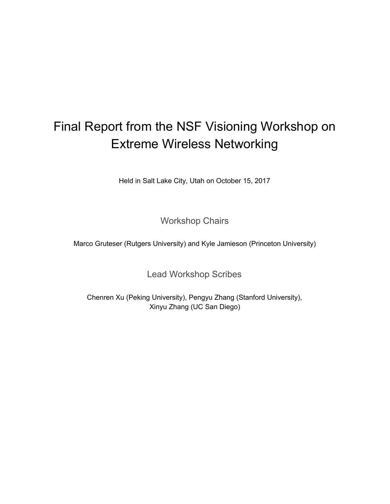# Final Report from the NSF Visioning Workshop on Extreme Wireless Networking

Held in Salt Lake City, Utah on October 15, 2017

Workshop Chairs

Marco Gruteser (Rutgers University) and Kyle Jamieson (Princeton University)

Lead Workshop Scribes

Chenren Xu (Peking University), Pengyu Zhang (Stanford University), Xinyu Zhang (UC San Diego)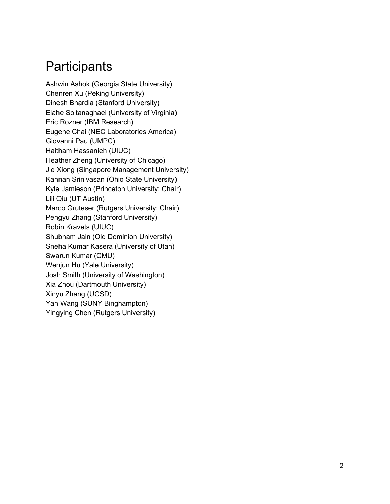# **Participants**

Ashwin Ashok (Georgia State University) Chenren Xu (Peking University) Dinesh Bhardia (Stanford University) Elahe Soltanaghaei (University of Virginia) Eric Rozner (IBM Research) Eugene Chai (NEC Laboratories America) Giovanni Pau (UMPC) Haitham Hassanieh (UIUC) Heather Zheng (University of Chicago) Jie Xiong (Singapore Management University) Kannan Srinivasan (Ohio State University) Kyle Jamieson (Princeton University; Chair) Lili Qiu (UT Austin) Marco Gruteser (Rutgers University; Chair) Pengyu Zhang (Stanford University) Robin Kravets (UIUC) Shubham Jain (Old Dominion University) Sneha Kumar Kasera (University of Utah) Swarun Kumar (CMU) Wenjun Hu (Yale University) Josh Smith (University of Washington) Xia Zhou (Dartmouth University) Xinyu Zhang (UCSD) Yan Wang (SUNY Binghampton) Yingying Chen (Rutgers University)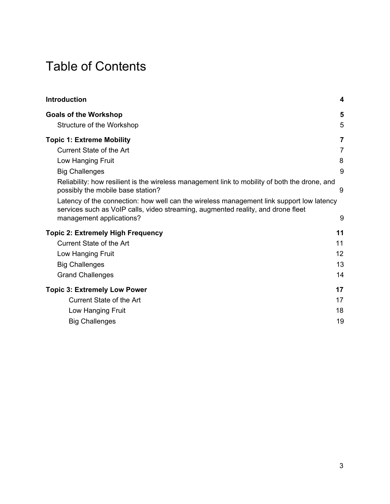# Table of Contents

| 5<br>5<br>Structure of the Workshop<br>$\overline{7}$<br><b>Current State of the Art</b><br>7<br>8<br>Low Hanging Fruit<br>9<br><b>Big Challenges</b><br>Reliability: how resilient is the wireless management link to mobility of both the drone, and<br>possibly the mobile base station?<br>9<br>Latency of the connection: how well can the wireless management link support low latency<br>services such as VoIP calls, video streaming, augmented reality, and drone fleet<br>management applications?<br>9<br>11<br><b>Current State of the Art</b><br>11<br>12<br>Low Hanging Fruit<br>13<br><b>Big Challenges</b><br><b>Grand Challenges</b><br>14<br>17<br><b>Current State of the Art</b><br>17<br>18<br>Low Hanging Fruit<br>19<br><b>Big Challenges</b> | <b>Introduction</b>                      | 4 |
|----------------------------------------------------------------------------------------------------------------------------------------------------------------------------------------------------------------------------------------------------------------------------------------------------------------------------------------------------------------------------------------------------------------------------------------------------------------------------------------------------------------------------------------------------------------------------------------------------------------------------------------------------------------------------------------------------------------------------------------------------------------------|------------------------------------------|---|
|                                                                                                                                                                                                                                                                                                                                                                                                                                                                                                                                                                                                                                                                                                                                                                      | <b>Goals of the Workshop</b>             |   |
|                                                                                                                                                                                                                                                                                                                                                                                                                                                                                                                                                                                                                                                                                                                                                                      | <b>Topic 1: Extreme Mobility</b>         |   |
|                                                                                                                                                                                                                                                                                                                                                                                                                                                                                                                                                                                                                                                                                                                                                                      |                                          |   |
|                                                                                                                                                                                                                                                                                                                                                                                                                                                                                                                                                                                                                                                                                                                                                                      |                                          |   |
|                                                                                                                                                                                                                                                                                                                                                                                                                                                                                                                                                                                                                                                                                                                                                                      |                                          |   |
|                                                                                                                                                                                                                                                                                                                                                                                                                                                                                                                                                                                                                                                                                                                                                                      |                                          |   |
|                                                                                                                                                                                                                                                                                                                                                                                                                                                                                                                                                                                                                                                                                                                                                                      |                                          |   |
|                                                                                                                                                                                                                                                                                                                                                                                                                                                                                                                                                                                                                                                                                                                                                                      | <b>Topic 2: Extremely High Frequency</b> |   |
|                                                                                                                                                                                                                                                                                                                                                                                                                                                                                                                                                                                                                                                                                                                                                                      |                                          |   |
|                                                                                                                                                                                                                                                                                                                                                                                                                                                                                                                                                                                                                                                                                                                                                                      |                                          |   |
|                                                                                                                                                                                                                                                                                                                                                                                                                                                                                                                                                                                                                                                                                                                                                                      |                                          |   |
|                                                                                                                                                                                                                                                                                                                                                                                                                                                                                                                                                                                                                                                                                                                                                                      |                                          |   |
|                                                                                                                                                                                                                                                                                                                                                                                                                                                                                                                                                                                                                                                                                                                                                                      | <b>Topic 3: Extremely Low Power</b>      |   |
|                                                                                                                                                                                                                                                                                                                                                                                                                                                                                                                                                                                                                                                                                                                                                                      |                                          |   |
|                                                                                                                                                                                                                                                                                                                                                                                                                                                                                                                                                                                                                                                                                                                                                                      |                                          |   |
|                                                                                                                                                                                                                                                                                                                                                                                                                                                                                                                                                                                                                                                                                                                                                                      |                                          |   |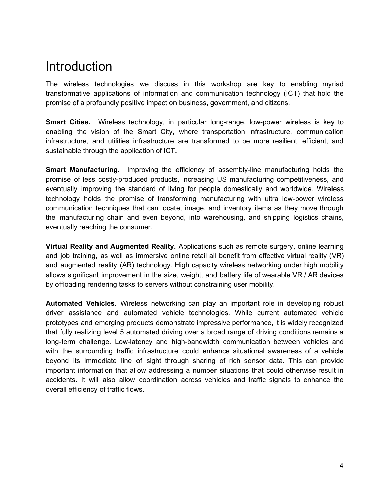# <span id="page-3-0"></span>Introduction

The wireless technologies we discuss in this workshop are key to enabling myriad transformative applications of information and communication technology (ICT) that hold the promise of a profoundly positive impact on business, government, and citizens.

**Smart Cities.** Wireless technology, in particular long-range, low-power wireless is key to enabling the vision of the Smart City, where transportation infrastructure, communication infrastructure, and utilities infrastructure are transformed to be more resilient, efficient, and sustainable through the application of ICT.

**Smart Manufacturing.** Improving the efficiency of assembly-line manufacturing holds the promise of less costly-produced products, increasing US manufacturing competitiveness, and eventually improving the standard of living for people domestically and worldwide. Wireless technology holds the promise of transforming manufacturing with ultra low-power wireless communication techniques that can locate, image, and inventory items as they move through the manufacturing chain and even beyond, into warehousing, and shipping logistics chains, eventually reaching the consumer.

**Virtual Reality and Augmented Reality.** Applications such as remote surgery, online learning and job training, as well as immersive online retail all benefit from effective virtual reality (VR) and augmented reality (AR) technology. High capacity wireless networking under high mobility allows significant improvement in the size, weight, and battery life of wearable VR / AR devices by offloading rendering tasks to servers without constraining user mobility.

**Automated Vehicles.** Wireless networking can play an important role in developing robust driver assistance and automated vehicle technologies. While current automated vehicle prototypes and emerging products demonstrate impressive performance, it is widely recognized that fully realizing level 5 automated driving over a broad range of driving conditions remains a long-term challenge. Low-latency and high-bandwidth communication between vehicles and with the surrounding traffic infrastructure could enhance situational awareness of a vehicle beyond its immediate line of sight through sharing of rich sensor data. This can provide important information that allow addressing a number situations that could otherwise result in accidents. It will also allow coordination across vehicles and traffic signals to enhance the overall efficiency of traffic flows.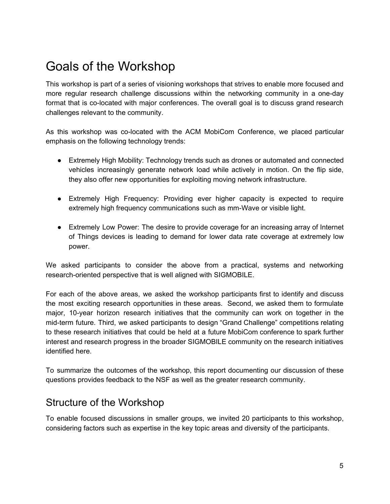# <span id="page-4-0"></span>Goals of the Workshop

This workshop is part of a series of visioning workshops that strives to enable more focused and more regular research challenge discussions within the networking community in a one-day format that is co-located with major conferences. The overall goal is to discuss grand research challenges relevant to the community.

As this workshop was co-located with the ACM MobiCom Conference, we placed particular emphasis on the following technology trends:

- Extremely High Mobility: Technology trends such as drones or automated and connected vehicles increasingly generate network load while actively in motion. On the flip side, they also offer new opportunities for exploiting moving network infrastructure.
- Extremely High Frequency: Providing ever higher capacity is expected to require extremely high frequency communications such as mm-Wave or visible light.
- Extremely Low Power: The desire to provide coverage for an increasing array of Internet of Things devices is leading to demand for lower data rate coverage at extremely low power.

We asked participants to consider the above from a practical, systems and networking research-oriented perspective that is well aligned with SIGMOBILE.

For each of the above areas, we asked the workshop participants first to identify and discuss the most exciting research opportunities in these areas. Second, we asked them to formulate major, 10-year horizon research initiatives that the community can work on together in the mid-term future. Third, we asked participants to design "Grand Challenge" competitions relating to these research initiatives that could be held at a future MobiCom conference to spark further interest and research progress in the broader SIGMOBILE community on the research initiatives identified here.

To summarize the outcomes of the workshop, this report documenting our discussion of these questions provides feedback to the NSF as well as the greater research community.

## <span id="page-4-1"></span>Structure of the Workshop

To enable focused discussions in smaller groups, we invited 20 participants to this workshop, considering factors such as expertise in the key topic areas and diversity of the participants.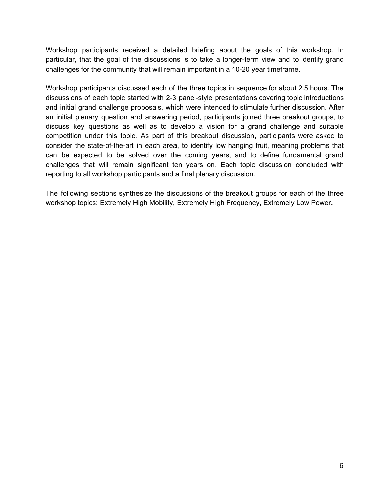Workshop participants received a detailed briefing about the goals of this workshop. In particular, that the goal of the discussions is to take a longer-term view and to identify grand challenges for the community that will remain important in a 10-20 year timeframe.

Workshop participants discussed each of the three topics in sequence for about 2.5 hours. The discussions of each topic started with 2-3 panel-style presentations covering topic introductions and initial grand challenge proposals, which were intended to stimulate further discussion. After an initial plenary question and answering period, participants joined three breakout groups, to discuss key questions as well as to develop a vision for a grand challenge and suitable competition under this topic. As part of this breakout discussion, participants were asked to consider the state-of-the-art in each area, to identify low hanging fruit, meaning problems that can be expected to be solved over the coming years, and to define fundamental grand challenges that will remain significant ten years on. Each topic discussion concluded with reporting to all workshop participants and a final plenary discussion.

The following sections synthesize the discussions of the breakout groups for each of the three workshop topics: Extremely High Mobility, Extremely High Frequency, Extremely Low Power.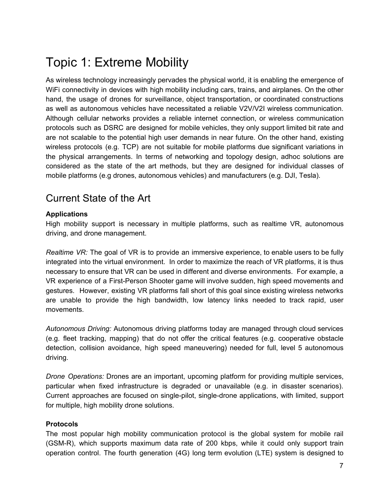# <span id="page-6-0"></span>Topic 1: Extreme Mobility

As wireless technology increasingly pervades the physical world, it is enabling the emergence of WiFi connectivity in devices with high mobility including cars, trains, and airplanes. On the other hand, the usage of drones for surveillance, object transportation, or coordinated constructions as well as autonomous vehicles have necessitated a reliable V2V/V2I wireless communication. Although cellular networks provides a reliable internet connection, or wireless communication protocols such as DSRC are designed for mobile vehicles, they only support limited bit rate and are not scalable to the potential high user demands in near future. On the other hand, existing wireless protocols (e.g. TCP) are not suitable for mobile platforms due significant variations in the physical arrangements. In terms of networking and topology design, adhoc solutions are considered as the state of the art methods, but they are designed for individual classes of mobile platforms (e.g drones, autonomous vehicles) and manufacturers (e.g. DJI, Tesla).

## <span id="page-6-1"></span>Current State of the Art

#### **Applications**

High mobility support is necessary in multiple platforms, such as realtime VR, autonomous driving, and drone management.

*Realtime VR:* The goal of VR is to provide an immersive experience, to enable users to be fully integrated into the virtual environment. In order to maximize the reach of VR platforms, it is thus necessary to ensure that VR can be used in different and diverse environments. For example, a VR experience of a First-Person Shooter game will involve sudden, high speed movements and gestures. However, existing VR platforms fall short of this goal since existing wireless networks are unable to provide the high bandwidth, low latency links needed to track rapid, user movements.

*Autonomous Driving:* Autonomous driving platforms today are managed through cloud services (e.g. fleet tracking, mapping) that do not offer the critical features (e.g. cooperative obstacle detection, collision avoidance, high speed maneuvering) needed for full, level 5 autonomous driving.

*Drone Operations:* Drones are an important, upcoming platform for providing multiple services, particular when fixed infrastructure is degraded or unavailable (e.g. in disaster scenarios). Current approaches are focused on single-pilot, single-drone applications, with limited, support for multiple, high mobility drone solutions.

#### **Protocols**

The most popular high mobility communication protocol is the global system for mobile rail (GSM-R), which supports maximum data rate of 200 kbps, while it could only support train operation control. The fourth generation (4G) long term evolution (LTE) system is designed to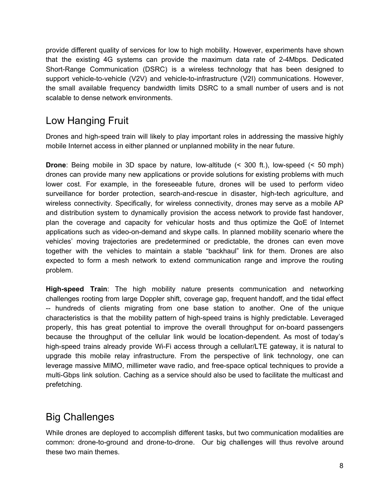provide different quality of services for low to high mobility. However, experiments have shown that the existing 4G systems can provide the maximum data rate of 2-4Mbps. Dedicated Short-Range Communication (DSRC) is a wireless technology that has been designed to support vehicle-to-vehicle (V2V) and vehicle-to-infrastructure (V2I) communications. However, the small available frequency bandwidth limits DSRC to a small number of users and is not scalable to dense network environments.

## <span id="page-7-0"></span>Low Hanging Fruit

Drones and high-speed train will likely to play important roles in addressing the massive highly mobile Internet access in either planned or unplanned mobility in the near future.

**Drone**: Being mobile in 3D space by nature, low-altitude (< 300 ft.), low-speed (< 50 mph) drones can provide many new applications or provide solutions for existing problems with much lower cost. For example, in the foreseeable future, drones will be used to perform video surveillance for border protection, search-and-rescue in disaster, high-tech agriculture, and wireless connectivity. Specifically, for wireless connectivity, drones may serve as a mobile AP and distribution system to dynamically provision the access network to provide fast handover, plan the coverage and capacity for vehicular hosts and thus optimize the QoE of Internet applications such as video-on-demand and skype calls. In planned mobility scenario where the vehicles' moving trajectories are predetermined or predictable, the drones can even move together with the vehicles to maintain a stable "backhaul" link for them. Drones are also expected to form a mesh network to extend communication range and improve the routing problem.

**High-speed Train**: The high mobility nature presents communication and networking challenges rooting from large Doppler shift, coverage gap, frequent handoff, and the tidal effect -- hundreds of clients migrating from one base station to another. One of the unique characteristics is that the mobility pattern of high-speed trains is highly predictable. Leveraged properly, this has great potential to improve the overall throughput for on-board passengers because the throughput of the cellular link would be location-dependent. As most of today's high-speed trains already provide Wi-Fi access through a cellular/LTE gateway, it is natural to upgrade this mobile relay infrastructure. From the perspective of link technology, one can leverage massive MIMO, millimeter wave radio, and free-space optical techniques to provide a multi-Gbps link solution. Caching as a service should also be used to facilitate the multicast and prefetching.

## <span id="page-7-1"></span>Big Challenges

While drones are deployed to accomplish different tasks, but two communication modalities are common: drone-to-ground and drone-to-drone. Our big challenges will thus revolve around these two main themes.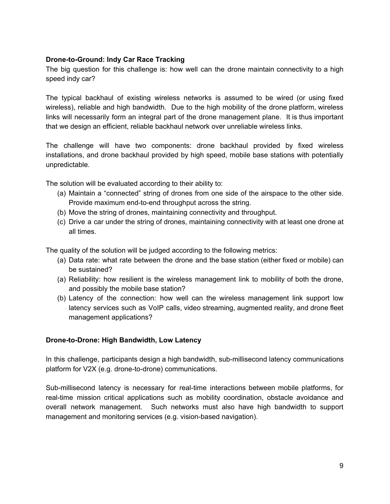#### **Drone-to-Ground: Indy Car Race Tracking**

The big question for this challenge is: how well can the drone maintain connectivity to a high speed indy car?

The typical backhaul of existing wireless networks is assumed to be wired (or using fixed wireless), reliable and high bandwidth. Due to the high mobility of the drone platform, wireless links will necessarily form an integral part of the drone management plane. It is thus important that we design an efficient, reliable backhaul network over unreliable wireless links.

The challenge will have two components: drone backhaul provided by fixed wireless installations, and drone backhaul provided by high speed, mobile base stations with potentially unpredictable.

The solution will be evaluated according to their ability to:

- (a) Maintain a "connected" string of drones from one side of the airspace to the other side. Provide maximum end-to-end throughput across the string.
- (b) Move the string of drones, maintaining connectivity and throughput.
- (c) Drive a car under the string of drones, maintaining connectivity with at least one drone at all times.

The quality of the solution will be judged according to the following metrics:

- (a) Data rate: what rate between the drone and the base station (either fixed or mobile) can be sustained?
- <span id="page-8-0"></span>(a) Reliability: how resilient is the wireless management link to mobility of both the drone, and possibly the mobile base station?
- <span id="page-8-1"></span>(b) Latency of the connection: how well can the wireless management link support low latency services such as VoIP calls, video streaming, augmented reality, and drone fleet management applications?

#### **Drone-to-Drone: High Bandwidth, Low Latency**

In this challenge, participants design a high bandwidth, sub-millisecond latency communications platform for V2X (e.g. drone-to-drone) communications.

Sub-millisecond latency is necessary for real-time interactions between mobile platforms, for real-time mission critical applications such as mobility coordination, obstacle avoidance and overall network management. Such networks must also have high bandwidth to support management and monitoring services (e.g. vision-based navigation).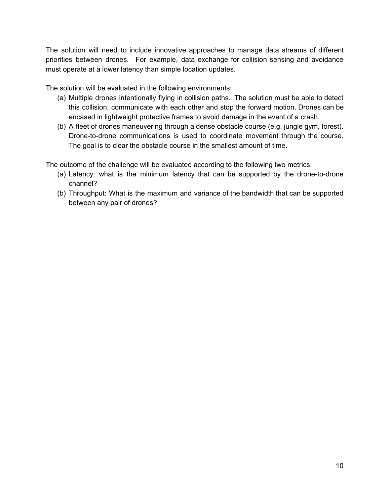The solution will need to include innovative approaches to manage data streams of different priorities between drones. For example, data exchange for collision sensing and avoidance must operate at a lower latency than simple location updates.

The solution will be evaluated in the following environments:

- (a) Multiple drones intentionally flying in collision paths. The solution must be able to detect this collision, communicate with each other and stop the forward motion. Drones can be encased in lightweight protective frames to avoid damage in the event of a crash.
- (b) A fleet of drones maneuvering through a dense obstacle course (e.g. jungle gym, forest). Drone-to-drone communications is used to coordinate movement through the course. The goal is to clear the obstacle course in the smallest amount of time.

The outcome of the challenge will be evaluated according to the following two metrics:

- (a) Latency: what is the minimum latency that can be supported by the drone-to-drone channel?
- (b) Throughput: What is the maximum and variance of the bandwidth that can be supported between any pair of drones?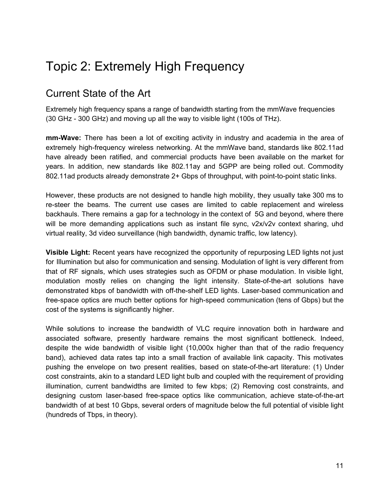# <span id="page-10-0"></span>Topic 2: Extremely High Frequency

### <span id="page-10-1"></span>Current State of the Art

Extremely high frequency spans a range of bandwidth starting from the mmWave frequencies (30 GHz - 300 GHz) and moving up all the way to visible light (100s of THz).

**mm-Wave:** There has been a lot of exciting activity in industry and academia in the area of extremely high-frequency wireless networking. At the mmWave band, standards like 802.11ad have already been ratified, and commercial products have been available on the market for years. In addition, new standards like 802.11ay and 5GPP are being rolled out. Commodity 802.11ad products already demonstrate 2+ Gbps of throughput, with point-to-point static links.

However, these products are not designed to handle high mobility, they usually take 300 ms to re-steer the beams. The current use cases are limited to cable replacement and wireless backhauls. There remains a gap for a technology in the context of 5G and beyond, where there will be more demanding applications such as instant file sync, v2x/v2v context sharing, uhd virtual reality, 3d video surveillance (high bandwidth, dynamic traffic, low latency).

**Visible Light:** Recent years have recognized the opportunity of repurposing LED lights not just for Illumination but also for communication and sensing. Modulation of light is very different from that of RF signals, which uses strategies such as OFDM or phase modulation. In visible light, modulation mostly relies on changing the light intensity. State-of-the-art solutions have demonstrated kbps of bandwidth with off-the-shelf LED lights. Laser-based communication and free-space optics are much better options for high-speed communication (tens of Gbps) but the cost of the systems is significantly higher.

While solutions to increase the bandwidth of VLC require innovation both in hardware and associated software, presently hardware remains the most significant bottleneck. Indeed, despite the wide bandwidth of visible light (10,000x higher than that of the radio frequency band), achieved data rates tap into a small fraction of available link capacity. This motivates pushing the envelope on two present realities, based on state-of-the-art literature: (1) Under cost constraints, akin to a standard LED light bulb and coupled with the requirement of providing illumination, current bandwidths are limited to few kbps; (2) Removing cost constraints, and designing custom laser-based free-space optics like communication, achieve state-of-the-art bandwidth of at best 10 Gbps, several orders of magnitude below the full potential of visible light (hundreds of Tbps, in theory).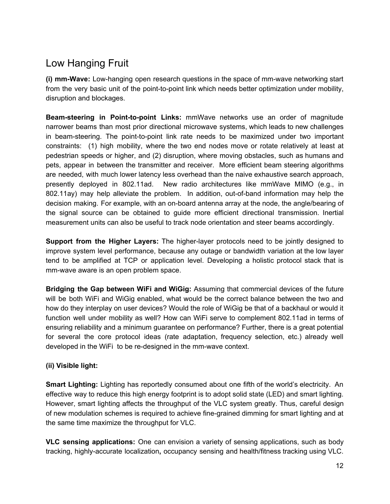## <span id="page-11-0"></span>Low Hanging Fruit

**(i) mm-Wave:** Low-hanging open research questions in the space of mm-wave networking start from the very basic unit of the point-to-point link which needs better optimization under mobility, disruption and blockages.

**Beam-steering in Point-to-point Links:** mmWave networks use an order of magnitude narrower beams than most prior directional microwave systems, which leads to new challenges in beam-steering. The point-to-point link rate needs to be maximized under two important constraints: (1) high mobility, where the two end nodes move or rotate relatively at least at pedestrian speeds or higher, and (2) disruption, where moving obstacles, such as humans and pets, appear in between the transmitter and receiver. More efficient beam steering algorithms are needed, with much lower latency less overhead than the naive exhaustive search approach, presently deployed in 802.11ad. New radio architectures like mmWave MIMO (e.g., in 802.11ay) may help alleviate the problem. In addition, out-of-band information may help the decision making. For example, with an on-board antenna array at the node, the angle/bearing of the signal source can be obtained to guide more efficient directional transmission. Inertial measurement units can also be useful to track node orientation and steer beams accordingly.

**Support from the Higher Layers:** The higher-layer protocols need to be jointly designed to improve system level performance, because any outage or bandwidth variation at the low layer tend to be amplified at TCP or application level. Developing a holistic protocol stack that is mm-wave aware is an open problem space.

**Bridging the Gap between WiFi and WiGig:** Assuming that commercial devices of the future will be both WiFi and WiGig enabled, what would be the correct balance between the two and how do they interplay on user devices? Would the role of WiGig be that of a backhaul or would it function well under mobility as well? How can WiFi serve to complement 802.11ad in terms of ensuring reliability and a minimum guarantee on performance? Further, there is a great potential for several the core protocol ideas (rate adaptation, frequency selection, etc.) already well developed in the WiFi to be re-designed in the mm-wave context.

### **(ii) Visible light:**

**Smart Lighting:** Lighting has reportedly consumed about one fifth of the world's electricity. An effective way to reduce this high energy footprint is to adopt solid state (LED) and smart lighting. However, smart lighting affects the throughput of the VLC system greatly. Thus, careful design of new modulation schemes is required to achieve fine-grained dimming for smart lighting and at the same time maximize the throughput for VLC.

**VLC sensing applications:** One can envision a variety of sensing applications, such as body tracking, highly-accurate localization**,** occupancy sensing and health/fitness tracking using VLC.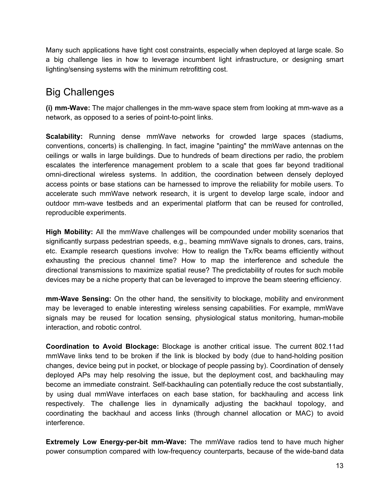Many such applications have tight cost constraints, especially when deployed at large scale. So a big challenge lies in how to leverage incumbent light infrastructure, or designing smart lighting/sensing systems with the minimum retrofitting cost.

## <span id="page-12-0"></span>Big Challenges

**(i) mm-Wave:** The major challenges in the mm-wave space stem from looking at mm-wave as a network, as opposed to a series of point-to-point links.

**Scalability:** Running dense mmWave networks for crowded large spaces (stadiums, conventions, concerts) is challenging. In fact, imagine "painting" the mmWave antennas on the ceilings or walls in large buildings. Due to hundreds of beam directions per radio, the problem escalates the interference management problem to a scale that goes far beyond traditional omni-directional wireless systems. In addition, the coordination between densely deployed access points or base stations can be harnessed to improve the reliability for mobile users. To accelerate such mmWave network research, it is urgent to develop large scale, indoor and outdoor mm-wave testbeds and an experimental platform that can be reused for controlled, reproducible experiments.

**High Mobility:** All the mmWave challenges will be compounded under mobility scenarios that significantly surpass pedestrian speeds, e.g., beaming mmWave signals to drones, cars, trains, etc. Example research questions involve: How to realign the Tx/Rx beams efficiently without exhausting the precious channel time? How to map the interference and schedule the directional transmissions to maximize spatial reuse? The predictability of routes for such mobile devices may be a niche property that can be leveraged to improve the beam steering efficiency.

**mm-Wave Sensing:** On the other hand, the sensitivity to blockage, mobility and environment may be leveraged to enable interesting wireless sensing capabilities. For example, mmWave signals may be reused for location sensing, physiological status monitoring, human-mobile interaction, and robotic control.

**Coordination to Avoid Blockage:** Blockage is another critical issue. The current 802.11ad mmWave links tend to be broken if the link is blocked by body (due to hand-holding position changes, device being put in pocket, or blockage of people passing by). Coordination of densely deployed APs may help resolving the issue, but the deployment cost, and backhauling may become an immediate constraint. Self-backhauling can potentially reduce the cost substantially, by using dual mmWave interfaces on each base station, for backhauling and access link respectively. The challenge lies in dynamically adjusting the backhaul topology, and coordinating the backhaul and access links (through channel allocation or MAC) to avoid interference.

**Extremely Low Energy-per-bit mm-Wave:** The mmWave radios tend to have much higher power consumption compared with low-frequency counterparts, because of the wide-band data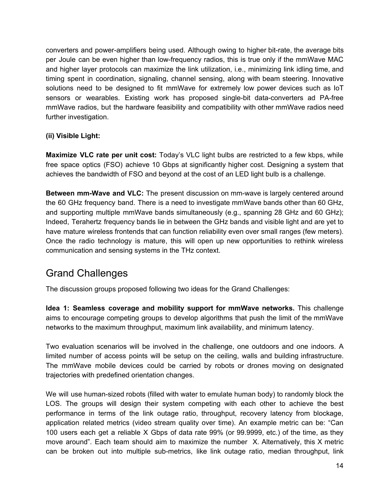converters and power-amplifiers being used. Although owing to higher bit-rate, the average bits per Joule can be even higher than low-frequency radios, this is true only if the mmWave MAC and higher layer protocols can maximize the link utilization, i.e., minimizing link idling time, and timing spent in coordination, signaling, channel sensing, along with beam steering. Innovative solutions need to be designed to fit mmWave for extremely low power devices such as IoT sensors or wearables. Existing work has proposed single-bit data-converters ad PA-free mmWave radios, but the hardware feasibility and compatibility with other mmWave radios need further investigation.

#### **(ii) Visible Light:**

**Maximize VLC rate per unit cost:** Today's VLC light bulbs are restricted to a few kbps, while free space optics (FSO) achieve 10 Gbps at significantly higher cost. Designing a system that achieves the bandwidth of FSO and beyond at the cost of an LED light bulb is a challenge.

**Between mm-Wave and VLC:** The present discussion on mm-wave is largely centered around the 60 GHz frequency band. There is a need to investigate mmWave bands other than 60 GHz, and supporting multiple mmWave bands simultaneously (e.g., spanning 28 GHz and 60 GHz); Indeed, Terahertz frequency bands lie in between the GHz bands and visible light and are yet to have mature wireless frontends that can function reliability even over small ranges (few meters). Once the radio technology is mature, this will open up new opportunities to rethink wireless communication and sensing systems in the THz context.

### <span id="page-13-0"></span>Grand Challenges

The discussion groups proposed following two ideas for the Grand Challenges:

**Idea 1: Seamless coverage and mobility support for mmWave networks.** This challenge aims to encourage competing groups to develop algorithms that push the limit of the mmWave networks to the maximum throughput, maximum link availability, and minimum latency.

Two evaluation scenarios will be involved in the challenge, one outdoors and one indoors. A limited number of access points will be setup on the ceiling, walls and building infrastructure. The mmWave mobile devices could be carried by robots or drones moving on designated trajectories with predefined orientation changes.

We will use human-sized robots (filled with water to emulate human body) to randomly block the LOS. The groups will design their system competing with each other to achieve the best performance in terms of the link outage ratio, throughput, recovery latency from blockage, application related metrics (video stream quality over time). An example metric can be: "Can 100 users each get a reliable X Gbps of data rate 99% (or 99.9999, etc.) of the time, as they move around". Each team should aim to maximize the number X. Alternatively, this X metric can be broken out into multiple sub-metrics, like link outage ratio, median throughput, link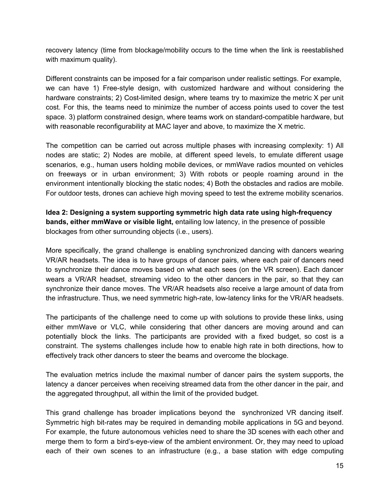recovery latency (time from blockage/mobility occurs to the time when the link is reestablished with maximum quality).

Different constraints can be imposed for a fair comparison under realistic settings. For example, we can have 1) Free-style design, with customized hardware and without considering the hardware constraints; 2) Cost-limited design, where teams try to maximize the metric X per unit cost. For this, the teams need to minimize the number of access points used to cover the test space. 3) platform constrained design, where teams work on standard-compatible hardware, but with reasonable reconfigurability at MAC layer and above, to maximize the X metric.

The competition can be carried out across multiple phases with increasing complexity: 1) All nodes are static; 2) Nodes are mobile, at different speed levels, to emulate different usage scenarios, e.g., human users holding mobile devices, or mmWave radios mounted on vehicles on freeways or in urban environment; 3) With robots or people roaming around in the environment intentionally blocking the static nodes; 4) Both the obstacles and radios are mobile. For outdoor tests, drones can achieve high moving speed to test the extreme mobility scenarios.

**Idea 2: Designing a system supporting symmetric high data rate using high-frequency bands, either mmWave or visible light,** entailing low latency, in the presence of possible blockages from other surrounding objects (i.e., users).

More specifically, the grand challenge is enabling synchronized dancing with dancers wearing VR/AR headsets. The idea is to have groups of dancer pairs, where each pair of dancers need to synchronize their dance moves based on what each sees (on the VR screen). Each dancer wears a VR/AR headset, streaming video to the other dancers in the pair, so that they can synchronize their dance moves. The VR/AR headsets also receive a large amount of data from the infrastructure. Thus, we need symmetric high-rate, low-latency links for the VR/AR headsets.

The participants of the challenge need to come up with solutions to provide these links, using either mmWave or VLC, while considering that other dancers are moving around and can potentially block the links. The participants are provided with a fixed budget, so cost is a constraint. The systems challenges include how to enable high rate in both directions, how to effectively track other dancers to steer the beams and overcome the blockage.

The evaluation metrics include the maximal number of dancer pairs the system supports, the latency a dancer perceives when receiving streamed data from the other dancer in the pair, and the aggregated throughput, all within the limit of the provided budget.

This grand challenge has broader implications beyond the synchronized VR dancing itself. Symmetric high bit-rates may be required in demanding mobile applications in 5G and beyond. For example, the future autonomous vehicles need to share the 3D scenes with each other and merge them to form a bird's-eye-view of the ambient environment. Or, they may need to upload each of their own scenes to an infrastructure (e.g., a base station with edge computing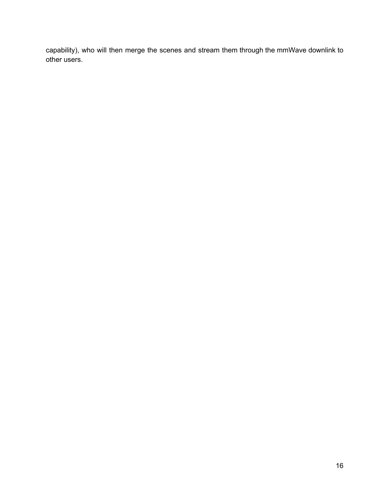capability), who will then merge the scenes and stream them through the mmWave downlink to other users.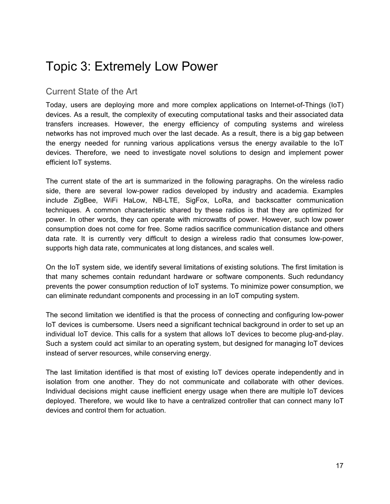# <span id="page-16-0"></span>Topic 3: Extremely Low Power

### <span id="page-16-1"></span>Current State of the Art

Today, users are deploying more and more complex applications on Internet-of-Things (IoT) devices. As a result, the complexity of executing computational tasks and their associated data transfers increases. However, the energy efficiency of computing systems and wireless networks has not improved much over the last decade. As a result, there is a big gap between the energy needed for running various applications versus the energy available to the IoT devices. Therefore, we need to investigate novel solutions to design and implement power efficient IoT systems.

The current state of the art is summarized in the following paragraphs. On the wireless radio side, there are several low-power radios developed by industry and academia. Examples include ZigBee, WiFi HaLow, NB-LTE, SigFox, LoRa, and backscatter communication techniques. A common characteristic shared by these radios is that they are optimized for power. In other words, they can operate with microwatts of power. However, such low power consumption does not come for free. Some radios sacrifice communication distance and others data rate. It is currently very difficult to design a wireless radio that consumes low-power, supports high data rate, communicates at long distances, and scales well.

On the IoT system side, we identify several limitations of existing solutions. The first limitation is that many schemes contain redundant hardware or software components. Such redundancy prevents the power consumption reduction of IoT systems. To minimize power consumption, we can eliminate redundant components and processing in an IoT computing system.

The second limitation we identified is that the process of connecting and configuring low-power IoT devices is cumbersome. Users need a significant technical background in order to set up an individual IoT device. This calls for a system that allows IoT devices to become plug-and-play. Such a system could act similar to an operating system, but designed for managing IoT devices instead of server resources, while conserving energy.

The last limitation identified is that most of existing IoT devices operate independently and in isolation from one another. They do not communicate and collaborate with other devices. Individual decisions might cause inefficient energy usage when there are multiple IoT devices deployed. Therefore, we would like to have a centralized controller that can connect many IoT devices and control them for actuation.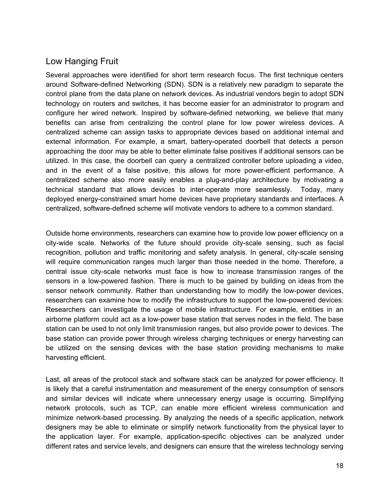### <span id="page-17-0"></span>Low Hanging Fruit

Several approaches were identified for short term research focus. The first technique centers around Software-defined Networking (SDN). SDN is a relatively new paradigm to separate the control plane from the data plane on network devices. As industrial vendors begin to adopt SDN technology on routers and switches, it has become easier for an administrator to program and configure her wired network. Inspired by software-defined networking, we believe that many benefits can arise from centralizing the control plane for low power wireless devices. A centralized scheme can assign tasks to appropriate devices based on additional internal and external information. For example, a smart, battery-operated doorbell that detects a person approaching the door may be able to better eliminate false positives if additional sensors can be utilized. In this case, the doorbell can query a centralized controller before uploading a video, and in the event of a false positive, this allows for more power-efficient performance. A centralized scheme also more easily enables a plug-and-play architecture by motivating a technical standard that allows devices to inter-operate more seamlessly. Today, many deployed energy-constrained smart home devices have proprietary standards and interfaces. A centralized, software-defined scheme will motivate vendors to adhere to a common standard.

Outside home environments, researchers can examine how to provide low power efficiency on a city-wide scale. Networks of the future should provide city-scale sensing, such as facial recognition, pollution and traffic monitoring and safety analysis. In general, city-scale sensing will require communication ranges much larger than those needed in the home. Therefore, a central issue city-scale networks must face is how to increase transmission ranges of the sensors in a low-powered fashion. There is much to be gained by building on ideas from the sensor network community. Rather than understanding how to modify the low-power devices, researchers can examine how to modify the infrastructure to support the low-powered devices. Researchers can investigate the usage of mobile infrastructure. For example, entities in an airborne platform could act as a low-power base station that serves nodes in the field. The base station can be used to not only limit transmission ranges, but also provide power to devices. The base station can provide power through wireless charging techniques or energy harvesting can be utilized on the sensing devices with the base station providing mechanisms to make harvesting efficient.

Last, all areas of the protocol stack and software stack can be analyzed for power efficiency. It is likely that a careful instrumentation and measurement of the energy consumption of sensors and similar devices will indicate where unnecessary energy usage is occurring. Simplifying network protocols, such as TCP, can enable more efficient wireless communication and minimize network-based processing. By analyzing the needs of a specific application, network designers may be able to eliminate or simplify network functionality from the physical layer to the application layer. For example, application-specific objectives can be analyzed under different rates and service levels, and designers can ensure that the wireless technology serving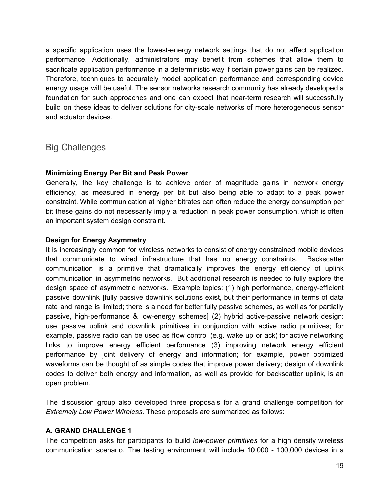a specific application uses the lowest-energy network settings that do not affect application performance. Additionally, administrators may benefit from schemes that allow them to sacrificate application performance in a deterministic way if certain power gains can be realized. Therefore, techniques to accurately model application performance and corresponding device energy usage will be useful. The sensor networks research community has already developed a foundation for such approaches and one can expect that near-term research will successfully build on these ideas to deliver solutions for city-scale networks of more heterogeneous sensor and actuator devices.

<span id="page-18-0"></span>Big Challenges

#### **Minimizing Energy Per Bit and Peak Power**

Generally, the key challenge is to achieve order of magnitude gains in network energy efficiency, as measured in energy per bit but also being able to adapt to a peak power constraint. While communication at higher bitrates can often reduce the energy consumption per bit these gains do not necessarily imply a reduction in peak power consumption, which is often an important system design constraint.

#### **Design for Energy Asymmetry**

It is increasingly common for wireless networks to consist of energy constrained mobile devices that communicate to wired infrastructure that has no energy constraints. Backscatter communication is a primitive that dramatically improves the energy efficiency of uplink communication in asymmetric networks. But additional research is needed to fully explore the design space of asymmetric networks. Example topics: (1) high performance, energy-efficient passive downlink [fully passive downlink solutions exist, but their performance in terms of data rate and range is limited; there is a need for better fully passive schemes, as well as for partially passive, high-performance & low-energy schemes] (2) hybrid active-passive network design: use passive uplink and downlink primitives in conjunction with active radio primitives; for example, passive radio can be used as flow control (e.g. wake up or ack) for active networking links to improve energy efficient performance (3) improving network energy efficient performance by joint delivery of energy and information; for example, power optimized waveforms can be thought of as simple codes that improve power delivery; design of downlink codes to deliver both energy and information, as well as provide for backscatter uplink, is an open problem.

The discussion group also developed three proposals for a grand challenge competition for *Extremely Low Power Wireless.* These proposals are summarized as follows:

### **A. GRAND CHALLENGE 1**

The competition asks for participants to build *low-power primitives* for a high density wireless communication scenario. The testing environment will include 10,000 - 100,000 devices in a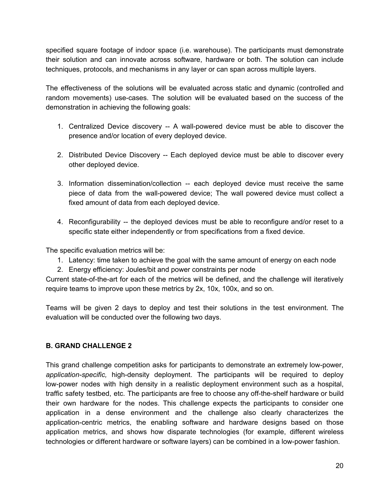specified square footage of indoor space (i.e. warehouse). The participants must demonstrate their solution and can innovate across software, hardware or both. The solution can include techniques, protocols, and mechanisms in any layer or can span across multiple layers.

The effectiveness of the solutions will be evaluated across static and dynamic (controlled and random movements) use-cases. The solution will be evaluated based on the success of the demonstration in achieving the following goals:

- 1. Centralized Device discovery -- A wall-powered device must be able to discover the presence and/or location of every deployed device.
- 2. Distributed Device Discovery -- Each deployed device must be able to discover every other deployed device.
- 3. Information dissemination/collection -- each deployed device must receive the same piece of data from the wall-powered device; The wall powered device must collect a fixed amount of data from each deployed device.
- 4. Reconfigurability -- the deployed devices must be able to reconfigure and/or reset to a specific state either independently or from specifications from a fixed device.

The specific evaluation metrics will be:

- 1. Latency: time taken to achieve the goal with the same amount of energy on each node
- 2. Energy efficiency: Joules/bit and power constraints per node

Current state-of-the-art for each of the metrics will be defined, and the challenge will iteratively require teams to improve upon these metrics by 2x, 10x, 100x, and so on.

Teams will be given 2 days to deploy and test their solutions in the test environment. The evaluation will be conducted over the following two days.

#### **B. GRAND CHALLENGE 2**

This grand challenge competition asks for participants to demonstrate an extremely low-power, *application-specific,* high-density deployment. The participants will be required to deploy low-power nodes with high density in a realistic deployment environment such as a hospital, traffic safety testbed, etc. The participants are free to choose any off-the-shelf hardware or build their own hardware for the nodes. This challenge expects the participants to consider one application in a dense environment and the challenge also clearly characterizes the application-centric metrics, the enabling software and hardware designs based on those application metrics, and shows how disparate technologies (for example, different wireless technologies or different hardware or software layers) can be combined in a low-power fashion.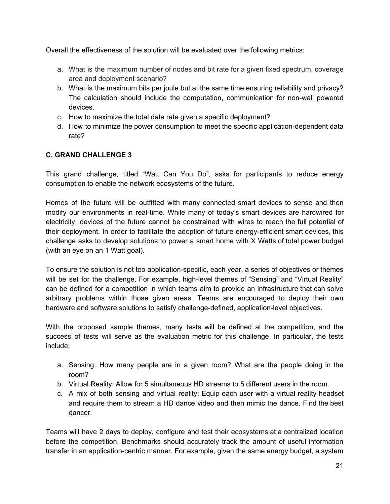Overall the effectiveness of the solution will be evaluated over the following metrics:

- a. What is the maximum number of nodes and bit rate for a given fixed spectrum, coverage area and deployment scenario?
- b. What is the maximum bits per joule but at the same time ensuring reliability and privacy? The calculation should include the computation, communication for non-wall powered devices.
- c. How to maximize the total data rate given a specific deployment?
- d. How to minimize the power consumption to meet the specific application-dependent data rate?

### **C. GRAND CHALLENGE 3**

This grand challenge, titled "Watt Can You Do", asks for participants to reduce energy consumption to enable the network ecosystems of the future.

Homes of the future will be outfitted with many connected smart devices to sense and then modify our environments in real-time. While many of today's smart devices are hardwired for electricity, devices of the future cannot be constrained with wires to reach the full potential of their deployment. In order to facilitate the adoption of future energy-efficient smart devices, this challenge asks to develop solutions to power a smart home with X Watts of total power budget (with an eye on an 1 Watt goal).

To ensure the solution is not too application-specific, each year, a series of objectives or themes will be set for the challenge. For example, high-level themes of "Sensing" and "Virtual Reality" can be defined for a competition in which teams aim to provide an infrastructure that can solve arbitrary problems within those given areas. Teams are encouraged to deploy their own hardware and software solutions to satisfy challenge-defined, application-level objectives.

With the proposed sample themes, many tests will be defined at the competition, and the success of tests will serve as the evaluation metric for this challenge. In particular, the tests include:

- a. Sensing: How many people are in a given room? What are the people doing in the room?
- b. Virtual Reality: Allow for 5 simultaneous HD streams to 5 different users in the room.
- c. A mix of both sensing and virtual reality: Equip each user with a virtual reality headset and require them to stream a HD dance video and then mimic the dance. Find the best dancer.

Teams will have 2 days to deploy, configure and test their ecosystems at a centralized location before the competition. Benchmarks should accurately track the amount of useful information transfer in an application-centric manner. For example, given the same energy budget, a system